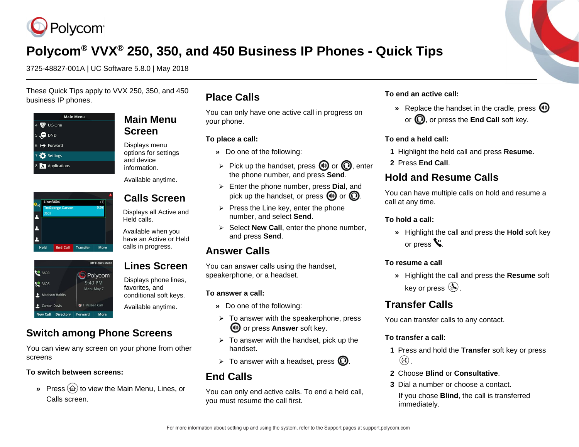

# **Polycom® VVX® 250, 350, and 450 Business IP Phones - Quick Tips**

3725-48827-001A | UC Software 5.8.0 | May 2018

These Quick Tips apply to VVX 250, 350, and 450 business IP phones.

| <b>Main Menu</b>            |
|-----------------------------|
| UC-One<br>4                 |
| $\Theta$ DND<br>5           |
| $6 \leftrightarrow$ Forward |
| 7 Settings                  |
| 8 A Applications            |

Hold End Call Transfer More

**Line:3604** 

**CE 3609** 

10 3605

Madison Hobbs Carson Davis

New Call Directory



Displays menu options for settings and device information.

Available anytime.

### **Calls Screen**

Displays all Active and Held calls.

Available when you have an Active or Held calls in progress.

### **Lines Screen**

Displays phone lines,

favorites, and conditional soft keys. Available anytime.

### **Switch among Phone Screens**

More

Off Hours Mode

**Polycom** 9:40 PM

Mon, May 7

1 Missed Call

Forward

You can view any screen on your phone from other screens

#### **To switch between screens:**

**»** Press ( $\widehat{\omega}$ ) to view the Main Menu, Lines, or Calls screen.

### **Place Calls**

You can only have one active call in progress on your phone.

#### **To place a call:**

- **»** Do one of the following:
- $\triangleright$  Pick up the handset, press (1) or  $\mathbb O$ , enter the phone number, and press **Send**.
- ➢ Enter the phone number, press **Dial**, and pick up the handset, or press  $\boldsymbol{\Theta}$  or  $\boldsymbol{\Omega}$ .
- $\triangleright$  Press the Line key, enter the phone number, and select **Send**.
- ➢ Select **New Call**, enter the phone number, and press **Send**.

### **Answer Calls**

You can answer calls using the handset, speakerphone, or a headset.

#### **To answer a call:**

- **»** Do one of the following:
- $\geq$  To answer with the speakerphone, press **(1)** or press **Answer** soft key.
- $\geq$  To answer with the handset, pick up the handset.
- $\triangleright$  To answer with a headset, press  $\mathbb{Q}$ .

### **End Calls**

You can only end active calls. To end a held call, you must resume the call first.

#### **To end an active call:**

**»** Replace the handset in the cradle, press or  $\mathbf{Q}$ , or press the **End Call** soft key.

#### **To end a held call:**

- **1** Highlight the held call and press **Resume.**
- **2** Press **End Call**.

### **Hold and Resume Calls**

You can have multiple calls on hold and resume a call at any time.

#### **To hold a call:**

**»** Highlight the call and press the **Hold** soft key or press  $V$ .

#### **To resume a call**

**»** Highlight the call and press the **Resume** soft key or press  $(\&)$ .

### **Transfer Calls**

You can transfer calls to any contact.

#### **To transfer a call:**

- **1** Press and hold the **Transfer** soft key or press  $\odot$
- **2** Choose **Blind** or **Consultative**.
- **3** Dial a number or choose a contact.

If you chose **Blind**, the call is transferred immediately.